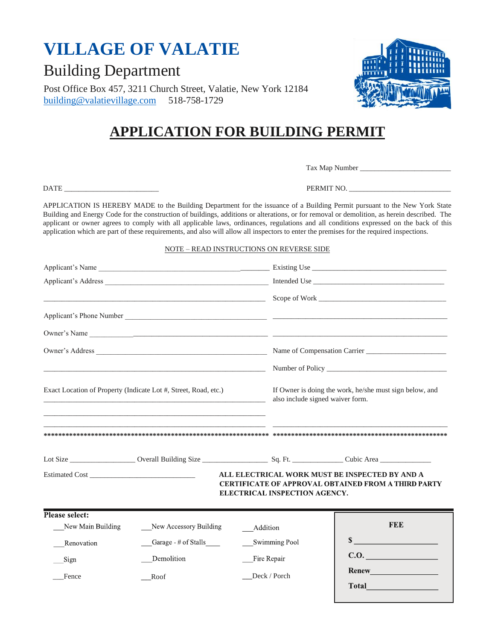## **APPLICATION FOR BUILDING PERMIT**

APPLICATION IS HEREBY MADE to the Building Department for the issuance of a Building Permit pursuant to the New York State Building and Energy Code for the construction of buildings, additions or alterations, or for removal or demolition, as herein described. The applicant or owner agrees to comply with all applicable laws, ordinances, regulations and all conditions expressed on the back of this application which are part of these requirements, and also will allow all inspectors to enter the premises for the required inspections.

#### NOTE – READ INSTRUCTIONS ON REVERSE SIDE

|                                                                                                                                                | Owner's Name                                                                                                        |                                                                                 |                                                                                             |  |
|------------------------------------------------------------------------------------------------------------------------------------------------|---------------------------------------------------------------------------------------------------------------------|---------------------------------------------------------------------------------|---------------------------------------------------------------------------------------------|--|
|                                                                                                                                                |                                                                                                                     |                                                                                 |                                                                                             |  |
|                                                                                                                                                | <u> 1989 - Johann Stein, markin fan it ferstjer fan de ferstjer fan it ferstjer fan de ferstjer fan it ferstjer</u> |                                                                                 |                                                                                             |  |
| Exact Location of Property (Indicate Lot #, Street, Road, etc.)<br><u> 1989 - Johann Stein, mars an deus an deus Amerikaansk kommunister (</u> |                                                                                                                     |                                                                                 | If Owner is doing the work, he/she must sign below, and<br>also include signed waiver form. |  |
|                                                                                                                                                |                                                                                                                     |                                                                                 |                                                                                             |  |
|                                                                                                                                                |                                                                                                                     | ALL ELECTRICAL WORK MUST BE INSPECTED BY AND A<br>ELECTRICAL INSPECTION AGENCY. | <b>CERTIFICATE OF APPROVAL OBTAINED FROM A THIRD PARTY</b>                                  |  |
| Please select:                                                                                                                                 |                                                                                                                     |                                                                                 | <b>FEE</b>                                                                                  |  |
| New Main Building                                                                                                                              | New Accessory Building                                                                                              | Addition                                                                        |                                                                                             |  |
| Renovation                                                                                                                                     | Garage - # of Stalls                                                                                                | <b>Swimming Pool</b>                                                            | $\sim$                                                                                      |  |
| Sign                                                                                                                                           | Demolition                                                                                                          | Fire Repair                                                                     | C.0.                                                                                        |  |
| Fence                                                                                                                                          | Roof                                                                                                                | Deck / Porch                                                                    | <b>Total</b>                                                                                |  |



# **VILLAGE OF VALATIE**

Building Department

Post Office Box 457, 3211 Church Street, Valatie, New York 12184 [building@valatievillage.com](mailto:building@valatievillage.com) 518-758-1729

Tax Map Number \_\_\_\_\_\_\_\_\_\_\_\_\_\_\_\_\_\_\_\_\_\_\_\_\_

DATE \_\_\_\_\_\_\_\_\_\_\_\_\_\_\_\_\_\_\_\_\_\_\_\_\_\_ PERMIT NO. \_\_\_\_\_\_\_\_\_\_\_\_\_\_\_\_\_\_\_\_\_\_\_\_\_\_\_\_